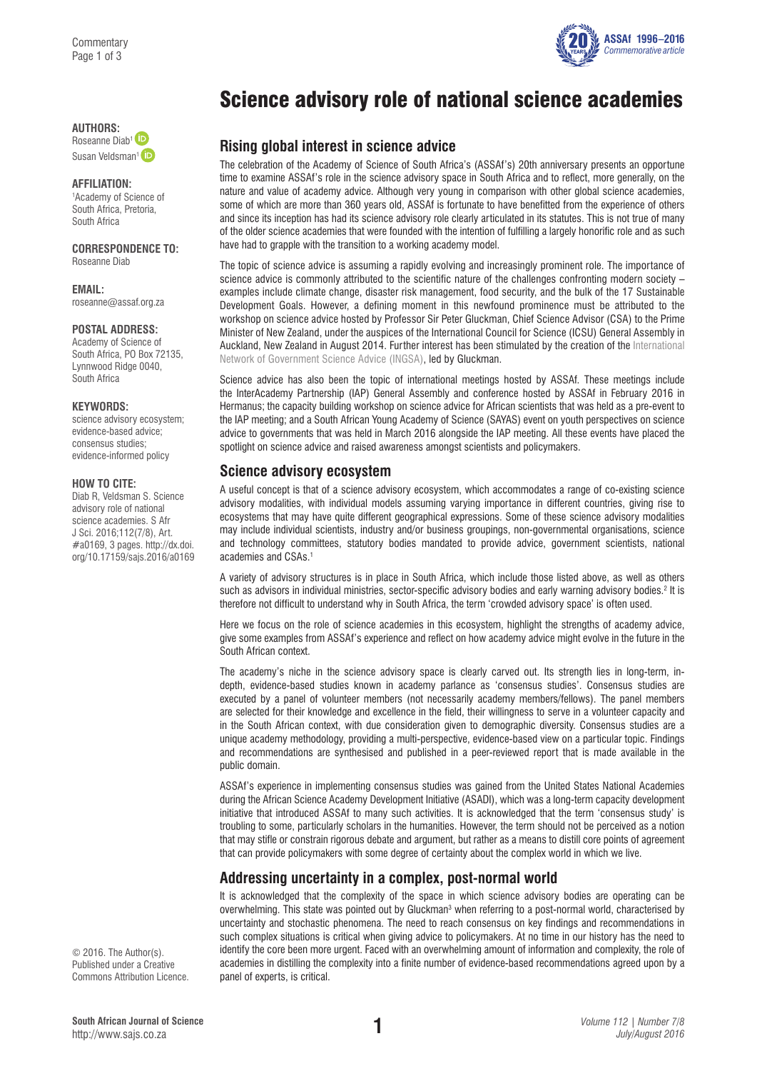#### **AUTHORS:**

Roseanne Diab<sup>1</sup> Susan Veldsman<sup>1</sup>

**AFFILIATION:** 1 Academy of Science of South Africa, Pretoria, South Africa

**CORRESPONDENCE TO:**  Roseanne Diab

#### **EMAIL:**  [roseanne@assaf.org.za](mailto:roseanne@assaf.org.za)

**POSTAL ADDRESS:** 

Academy of Science of South Africa, PO Box 72135, Lynnwood Ridge 0040, South Africa

#### **KEYWORDS:**

science advisory ecosystem; evidence-based advice; consensus studies; evidence-informed policy

#### **HOW TO CITE:**

Diab R, Veldsman S. Science advisory role of national science academies. S Afr J Sci. 2016;112(7/8), Art. #a0169, 3 pages. [http://dx.doi.](http://dx.doi.org/10.17159/sajs.2016/a0169) [org/10.17159/sajs.2016/a0169](http://dx.doi.org/10.17159/sajs.2016/a0169)

© 2016. The Author(s). Published under a Creative Commons Attribution Licence.



# Science advisory role of national science academies

## **Rising global interest in science advice**

The celebration of the Academy of Science of South Africa's (ASSAf's) 20th anniversary presents an opportune time to examine ASSAf's role in the science advisory space in South Africa and to reflect, more generally, on the nature and value of academy advice. Although very young in comparison with other global science academies, some of which are more than 360 years old, ASSAf is fortunate to have benefitted from the experience of others and since its inception has had its science advisory role clearly articulated in its statutes. This is not true of many of the older science academies that were founded with the intention of fulfilling a largely honorific role and as such have had to grapple with the transition to a working academy model.

The topic of science advice is assuming a rapidly evolving and increasingly prominent role. The importance of science advice is commonly attributed to the scientific nature of the challenges confronting modern society – examples include climate change, disaster risk management, food security, and the bulk of the 17 Sustainable Development Goals. However, a defining moment in this newfound prominence must be attributed to the workshop on science advice hosted by Professor Sir Peter Gluckman, Chief Science Advisor (CSA) to the Prime Minister of New Zealand, under the auspices of the International Council for Science (ICSU) General Assembly in Auckland, New Zealand in August 2014. Further interest has been stimulated by the creation of the [International](http://www.ingsa.org/)  [Network of Government Science Advice \(INGSA\)](http://www.ingsa.org/), led by Gluckman.

Science advice has also been the topic of international meetings hosted by ASSAf. These meetings include the InterAcademy Partnership (IAP) General Assembly and conference hosted by ASSAf in February 2016 in Hermanus; the capacity building workshop on science advice for African scientists that was held as a pre-event to the IAP meeting; and a South African Young Academy of Science (SAYAS) event on youth perspectives on science advice to governments that was held in March 2016 alongside the IAP meeting. All these events have placed the spotlight on science advice and raised awareness amongst scientists and policymakers.

#### **Science advisory ecosystem**

A useful concept is that of a science advisory ecosystem, which accommodates a range of co-existing science advisory modalities, with individual models assuming varying importance in different countries, giving rise to ecosystems that may have quite different geographical expressions. Some of these science advisory modalities may include individual scientists, industry and/or business groupings, non-governmental organisations, science and technology committees, statutory bodies mandated to provide advice, government scientists, national academies and CSAs.1

A variety of advisory structures is in place in South Africa, which include those listed above, as well as others such as advisors in individual ministries, sector-specific advisory bodies and early warning advisory bodies.<sup>2</sup> It is therefore not difficult to understand why in South Africa, the term 'crowded advisory space' is often used.

Here we focus on the role of science academies in this ecosystem, highlight the strengths of academy advice, give some examples from ASSAf's experience and reflect on how academy advice might evolve in the future in the South African context.

The academy's niche in the science advisory space is clearly carved out. Its strength lies in long-term, indepth, evidence-based studies known in academy parlance as 'consensus studies'. Consensus studies are executed by a panel of volunteer members (not necessarily academy members/fellows). The panel members are selected for their knowledge and excellence in the field, their willingness to serve in a volunteer capacity and in the South African context, with due consideration given to demographic diversity. Consensus studies are a unique academy methodology, providing a multi-perspective, evidence-based view on a particular topic. Findings and recommendations are synthesised and published in a peer-reviewed report that is made available in the public domain.

ASSAf's experience in implementing consensus studies was gained from the United States National Academies during the African Science Academy Development Initiative (ASADI), which was a long-term capacity development initiative that introduced ASSAf to many such activities. It is acknowledged that the term 'consensus study' is troubling to some, particularly scholars in the humanities. However, the term should not be perceived as a notion that may stifle or constrain rigorous debate and argument, but rather as a means to distill core points of agreement that can provide policymakers with some degree of certainty about the complex world in which we live.

### **Addressing uncertainty in a complex, post-normal world**

It is acknowledged that the complexity of the space in which science advisory bodies are operating can be overwhelming. This state was pointed out by Gluckman<sup>3</sup> when referring to a post-normal world, characterised by uncertainty and stochastic phenomena. The need to reach consensus on key findings and recommendations in such complex situations is critical when giving advice to policymakers. At no time in our history has the need to identify the core been more urgent. Faced with an overwhelming amount of information and complexity, the role of academies in distilling the complexity into a finite number of evidence-based recommendations agreed upon by a panel of experts, is critical.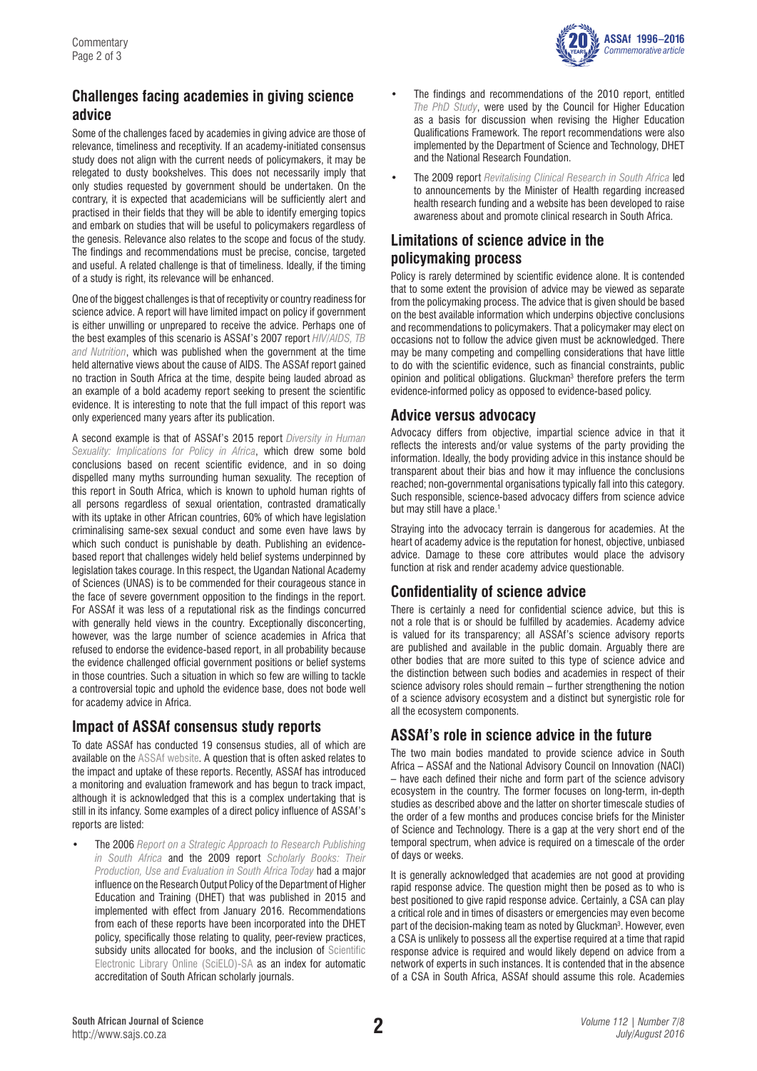

# **Challenges facing academies in giving science advice**

Some of the challenges faced by academies in giving advice are those of relevance, timeliness and receptivity. If an academy-initiated consensus study does not align with the current needs of policymakers, it may be relegated to dusty bookshelves. This does not necessarily imply that only studies requested by government should be undertaken. On the contrary, it is expected that academicians will be sufficiently alert and practised in their fields that they will be able to identify emerging topics and embark on studies that will be useful to policymakers regardless of the genesis. Relevance also relates to the scope and focus of the study. The findings and recommendations must be precise, concise, targeted and useful. A related challenge is that of timeliness. Ideally, if the timing of a study is right, its relevance will be enhanced.

One of the biggest challenges is that of receptivity or country readiness for science advice. A report will have limited impact on policy if government is either unwilling or unprepared to receive the advice. Perhaps one of the best examples of this scenario is ASSAf's 2007 report *[HIV/AIDS, TB](http://www.assaf.org.za/files/reports/evidence_based/3060%20ASSAf%20HIV%20TB%20and%20Nutrition.pdf)  [and Nutrition](http://www.assaf.org.za/files/reports/evidence_based/3060%20ASSAf%20HIV%20TB%20and%20Nutrition.pdf)*, which was published when the government at the time held alternative views about the cause of AIDS. The ASSAf report gained no traction in South Africa at the time, despite being lauded abroad as an example of a bold academy report seeking to present the scientific evidence. It is interesting to note that the full impact of this report was only experienced many years after its publication.

A second example is that of ASSAf's 2015 report *[Diversity in Human](http://www.assaf.org.za/8-June-Diversity-in-human-sexuality1.pdf)  [Sexuality: Implications for Policy in Africa](http://www.assaf.org.za/8-June-Diversity-in-human-sexuality1.pdf)*, which drew some bold conclusions based on recent scientific evidence, and in so doing dispelled many myths surrounding human sexuality. The reception of this report in South Africa, which is known to uphold human rights of all persons regardless of sexual orientation, contrasted dramatically with its uptake in other African countries, 60% of which have legislation criminalising same-sex sexual conduct and some even have laws by which such conduct is punishable by death. Publishing an evidencebased report that challenges widely held belief systems underpinned by legislation takes courage. In this respect, the Ugandan National Academy of Sciences (UNAS) is to be commended for their courageous stance in the face of severe government opposition to the findings in the report. For ASSAf it was less of a reputational risk as the findings concurred with generally held views in the country. Exceptionally disconcerting, however, was the large number of science academies in Africa that refused to endorse the evidence-based report, in all probability because the evidence challenged official government positions or belief systems in those countries. Such a situation in which so few are willing to tackle a controversial topic and uphold the evidence base, does not bode well for academy advice in Africa.

### **Impact of ASSAf consensus study reports**

To date ASSAf has conducted 19 consensus studies, all of which are available on the [ASSAf website](http://www.assaf.org.za/). A question that is often asked relates to the impact and uptake of these reports. Recently, ASSAf has introduced a monitoring and evaluation framework and has begun to track impact, although it is acknowledged that this is a complex undertaking that is still in its infancy. Some examples of a direct policy influence of ASSAf's reports are listed:

• The 2006 *[Report on a Strategic Approach to Research Publishing](http://www.assaf.org.za/files/2011/02/2466-ASSAF-Strategic-approach-to-research-publishing-2.pdf
)  [in South Africa](http://www.assaf.org.za/files/2011/02/2466-ASSAF-Strategic-approach-to-research-publishing-2.pdf
)* and the 2009 report *[Scholarly Books: Their](http://www.assaf.org.za/ASSAF%20Scholarly%20Report%20FINAL%20Proof.pdf)  [Production, Use and Evaluation in South Africa Today](http://www.assaf.org.za/ASSAF%20Scholarly%20Report%20FINAL%20Proof.pdf)* had a major influence on the Research Output Policy of the Department of Higher Education and Training (DHET) that was published in 2015 and implemented with effect from January 2016. Recommendations from each of these reports have been incorporated into the DHET policy, specifically those relating to quality, peer-review practices, subsidy units allocated for books, and the inclusion of Scientific [Electronic Library Online \(SciELO\)-SA](http://www.scielo.org.za/) as an index for automatic accreditation of South African scholarly journals.

- The findings and recommendations of the 2010 report, entitled *[The PhD Study](http://www.assaf.org.za/files/2010/11/40696-Boldesign-PHD-small.pdf)*, were used by the Council for Higher Education as a basis for discussion when revising the Higher Education Qualifications Framework. The report recommendations were also implemented by the Department of Science and Technology, DHET and the National Research Foundation.
- The 2009 report *[Revitalising Clinical Research in South Africa](http://www.assaf.org.za/files/2009/09/ASSAf-Clinical-Report-2009.pdf)* led to announcements by the Minister of Health regarding increased health research funding and a website has been developed to raise awareness about and promote clinical research in South Africa.

# **Limitations of science advice in the policymaking process**

Policy is rarely determined by scientific evidence alone. It is contended that to some extent the provision of advice may be viewed as separate from the policymaking process. The advice that is given should be based on the best available information which underpins objective conclusions and recommendations to policymakers. That a policymaker may elect on occasions not to follow the advice given must be acknowledged. There may be many competing and compelling considerations that have little to do with the scientific evidence, such as financial constraints, public opinion and political obligations. Gluckman<sup>3</sup> therefore prefers the term evidence-informed policy as opposed to evidence-based policy.

## **Advice versus advocacy**

Advocacy differs from objective, impartial science advice in that it reflects the interests and/or value systems of the party providing the information. Ideally, the body providing advice in this instance should be transparent about their bias and how it may influence the conclusions reached; non-governmental organisations typically fall into this category. Such responsible, science-based advocacy differs from science advice but may still have a place.<sup>1</sup>

Straying into the advocacy terrain is dangerous for academies. At the heart of academy advice is the reputation for honest, objective, unbiased advice. Damage to these core attributes would place the advisory function at risk and render academy advice questionable.

# **Confidentiality of science advice**

There is certainly a need for confidential science advice, but this is not a role that is or should be fulfilled by academies. Academy advice is valued for its transparency; all ASSAf's science advisory reports are published and available in the public domain. Arguably there are other bodies that are more suited to this type of science advice and the distinction between such bodies and academies in respect of their science advisory roles should remain – further strengthening the notion of a science advisory ecosystem and a distinct but synergistic role for all the ecosystem components.

# **ASSAf's role in science advice in the future**

The two main bodies mandated to provide science advice in South Africa – ASSAf and the National Advisory Council on Innovation (NACI) – have each defined their niche and form part of the science advisory ecosystem in the country. The former focuses on long-term, in-depth studies as described above and the latter on shorter timescale studies of the order of a few months and produces concise briefs for the Minister of Science and Technology. There is a gap at the very short end of the temporal spectrum, when advice is required on a timescale of the order of days or weeks.

It is generally acknowledged that academies are not good at providing rapid response advice. The question might then be posed as to who is best positioned to give rapid response advice. Certainly, a CSA can play a critical role and in times of disasters or emergencies may even become part of the decision-making team as noted by Gluckman<sup>3</sup>. However, even a CSA is unlikely to possess all the expertise required at a time that rapid response advice is required and would likely depend on advice from a network of experts in such instances. It is contended that in the absence of a CSA in South Africa, ASSAf should assume this role. Academies